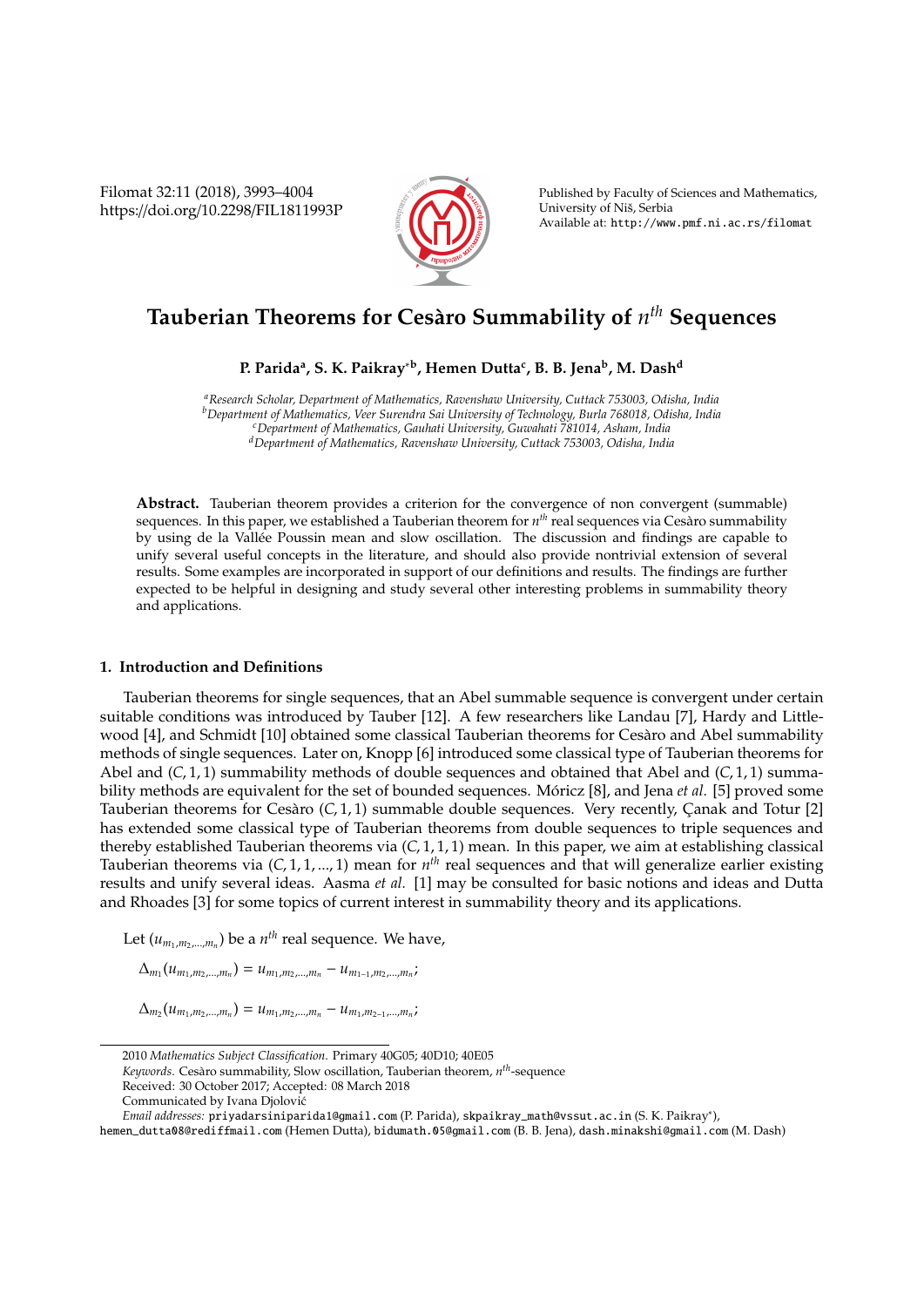Filomat 32:11 (2018), 3993–4004 https://doi.org/10.2298/FIL1811993P



Published by Faculty of Sciences and Mathematics, University of Niš, Serbia Available at: http://www.pmf.ni.ac.rs/filomat

# **Tauberian Theorems for Ces`aro Summability of** *n th* **Sequences**

**P. Parida<sup>a</sup> , S. K. Paikray**∗**<sup>b</sup> , Hemen Dutta<sup>c</sup> , B. B. Jena<sup>b</sup> , M. Dash<sup>d</sup>**

*<sup>a</sup>Research Scholar, Department of Mathematics, Ravenshaw University, Cuttack 753003, Odisha, India <sup>b</sup>Department of Mathematics, Veer Surendra Sai University of Technology, Burla 768018, Odisha, India <sup>c</sup>Department of Mathematics, Gauhati University, Guwahati 781014, Asham, India <sup>d</sup>Department of Mathematics, Ravenshaw University, Cuttack 753003, Odisha, India*

Abstract. Tauberian theorem provides a criterion for the convergence of non convergent (summable) sequences. In this paper, we established a Tauberian theorem for *n th* real sequences via Cesaro summability ` by using de la Vallee Poussin mean and slow oscillation. The discussion and findings are capable to ´ unify several useful concepts in the literature, and should also provide nontrivial extension of several results. Some examples are incorporated in support of our definitions and results. The findings are further expected to be helpful in designing and study several other interesting problems in summability theory and applications.

### **1. Introduction and Definitions**

Tauberian theorems for single sequences, that an Abel summable sequence is convergent under certain suitable conditions was introduced by Tauber [12]. A few researchers like Landau [7], Hardy and Littlewood [4], and Schmidt [10] obtained some classical Tauberian theorems for Cesaro and Abel summability ` methods of single sequences. Later on, Knopp [6] introduced some classical type of Tauberian theorems for Abel and (*C*, 1, 1) summability methods of double sequences and obtained that Abel and (*C*, 1, 1) summability methods are equivalent for the set of bounded sequences. Móricz [8], and Jena *et al.* [5] proved some Tauberian theorems for Cesàro (C, 1, 1) summable double sequences. Very recently, Canak and Totur [2] has extended some classical type of Tauberian theorems from double sequences to triple sequences and thereby established Tauberian theorems via (*C*, 1, 1, 1) mean. In this paper, we aim at establishing classical Tauberian theorems via (*C*, 1, 1, ..., 1) mean for *n th* real sequences and that will generalize earlier existing results and unify several ideas. Aasma *et al.* [1] may be consulted for basic notions and ideas and Dutta and Rhoades [3] for some topics of current interest in summability theory and its applications.

Let  $(u_{m_1,m_2,...,m_n})$  be a  $n^{th}$  real sequence. We have,

 $\Delta_{m_1}(u_{m_1,m_2,...,m_n}) = u_{m_1,m_2,...,m_n} - u_{m_{1-1},m_2,...,m_n}$ 

 $\Delta_{m_2}(u_{m_1,m_2,...,m_n}) = u_{m_1,m_2,...,m_n} - u_{m_1,m_2-1,...,m_n}$ 

Keywords. Cesàro summability, Slow oscillation, Tauberian theorem, n<sup>th</sup>-sequence

<sup>2010</sup> *Mathematics Subject Classification*. Primary 40G05; 40D10; 40E05

Received: 30 October 2017; Accepted: 08 March 2018

Communicated by Ivana Djolovic´

*Email addresses:* priyadarsiniparida1@gmail.com (P. Parida), skpaikray\_math@vssut.ac.in (S. K. Paikray<sup>∗</sup> ),

hemen\_dutta08@rediffmail.com (Hemen Dutta), bidumath.05@gmail.com (B. B. Jena), dash.minakshi@gmail.com (M. Dash)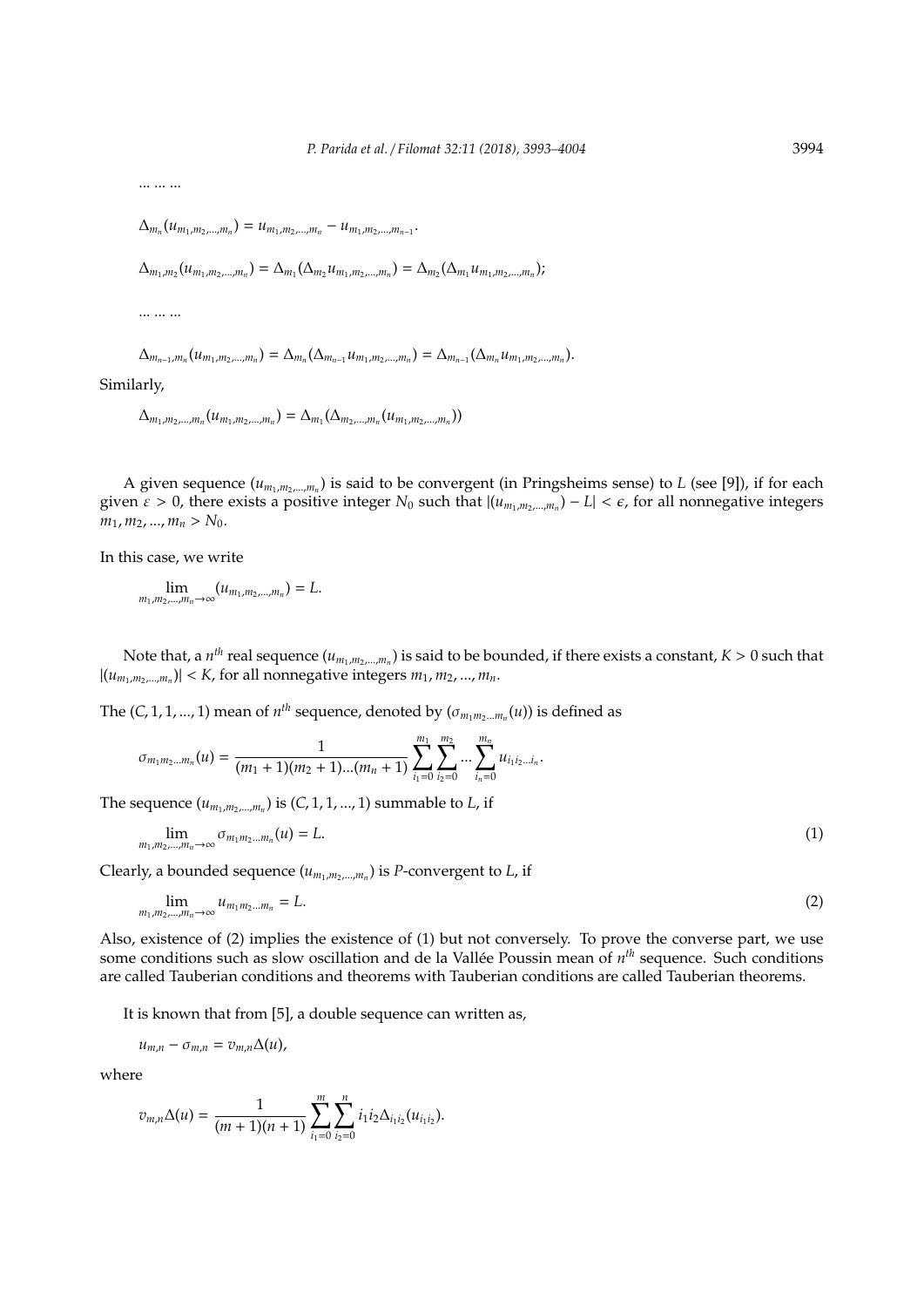... ... ...

 $\Delta_{m_n}(u_{m_1,m_2,...,m_n}) = u_{m_1,m_2,...,m_n} - u_{m_1,m_2,...,m_{n-1}}.$ 

 $\Delta_{m_1,m_2}(u_{m_1,m_2,...,m_n}) = \Delta_{m_1}(\Delta_{m_2}u_{m_1,m_2,...,m_n}) = \Delta_{m_2}(\Delta_{m_1}u_{m_1,m_2,...,m_n});$ 

... ... ...

 $\Delta_{m_{n-1},m_n}(u_{m_1,m_2,...,m_n}) = \Delta_{m_n}(\Delta_{m_{n-1}}u_{m_1,m_2,...,m_n}) = \Delta_{m_{n-1}}(\Delta_{m_n}u_{m_1,m_2,...,m_n}).$ 

Similarly,

 $\Delta_{m_1,m_2,...,m_n}(\mu_{m_1,m_2,...,m_n}) = \Delta_{m_1}(\Delta_{m_2,...,m_n}(\mu_{m_1,m_2,...,m_n}))$ 

A given sequence ( $u_{m_1,m_2,...,m_n}$ ) is said to be convergent (in Pringsheims sense) to *L* (see [9]), if for each given  $\varepsilon > 0$ , there exists a positive integer  $N_0$  such that  $|(u_{m_1,m_2,...,m_n}) - L| < \varepsilon$ , for all nonnegative integers  $m_1, m_2, ..., m_n > N_0$ .

In this case, we write

 $\lim_{m_1, m_2, ..., m_n \to \infty} (u_{m_1, m_2, ..., m_n}) = L.$ 

Note that, a  $n^{th}$  real sequence  $(u_{m_1,m_2,...,m_n})$  is said to be bounded, if there exists a constant,  $K>0$  such that  $|(u_{m_1,m_2,...,m_n})|$  < *K*, for all nonnegative integers  $m_1, m_2,..., m_n$ .

The  $(C, 1, 1, ..., 1)$  mean of  $n^{th}$  sequence, denoted by  $(\sigma_{m_1m_2...m_n}(u))$  is defined as

$$
\sigma_{m_1m_2\ldots m_n}(u)=\frac{1}{(m_1+1)(m_2+1)\ldots(m_n+1)}\sum_{i_1=0}^{m_1}\sum_{i_2=0}^{m_2}\ldots\sum_{i_n=0}^{m_n}u_{i_1i_2\ldots i_n}.
$$

The sequence  $(u_{m_1,m_2,...,m_n})$  is  $(C, 1, 1, ..., 1)$  summable to *L*, if

$$
\lim_{m_1,m_2,\ldots,m_n\to\infty}\sigma_{m_1m_2\ldots m_n}(u)=L.\tag{1}
$$

Clearly, a bounded sequence (*um*1,*m*2,...,*m<sup>n</sup>* ) is *P*-convergent to *L*, if

$$
\lim_{m_1,m_2,\ldots,m_n\to\infty}u_{m_1m_2\ldots m_n}=L.\tag{2}
$$

Also, existence of (2) implies the existence of (1) but not conversely. To prove the converse part, we use some conditions such as slow oscillation and de la Vallée Poussin mean of  $n^{th}$  sequence. Such conditions are called Tauberian conditions and theorems with Tauberian conditions are called Tauberian theorems.

It is known that from [5], a double sequence can written as,

$$
u_{m,n}-\sigma_{m,n}=v_{m,n}\Delta(u),
$$

where

$$
v_{m,n}\Delta(u)=\frac{1}{(m+1)(n+1)}\sum_{i_1=0}^m\sum_{i_2=0}^ni_1i_2\Delta_{i_1i_2}(u_{i_1i_2}).
$$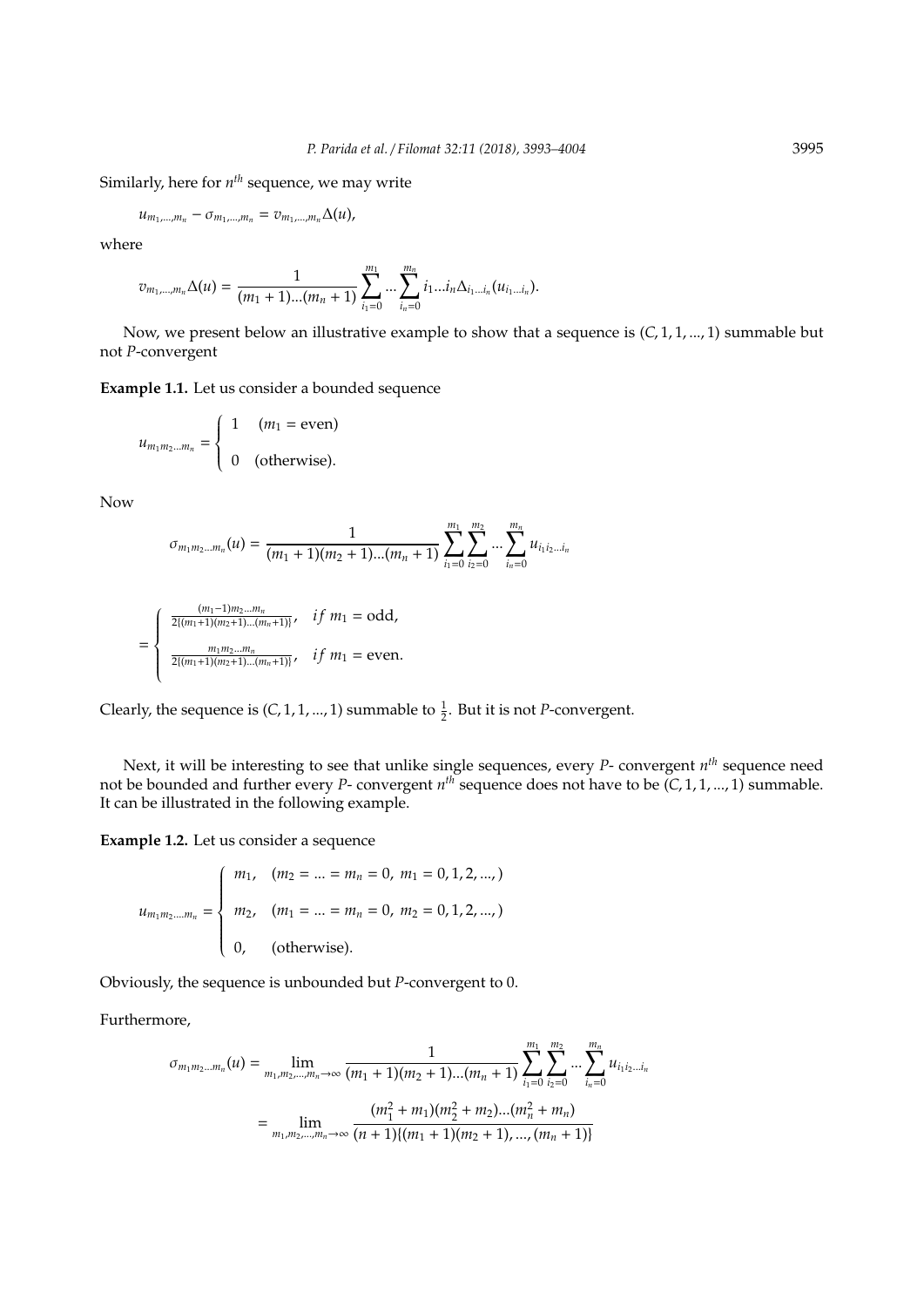Similarly, here for *n th* sequence, we may write

$$
u_{m_1,\ldots,m_n}-\sigma_{m_1,\ldots,m_n}=v_{m_1,\ldots,m_n}\Delta(u),
$$

where

$$
v_{m_1,\dots,m_n}\Delta(u)=\frac{1}{(m_1+1)\dots(m_n+1)}\sum_{i_1=0}^{m_1}\dots\sum_{i_n=0}^{m_n}i_1...\iota_n\Delta_{i_1...\iota_n}(u_{i_1...\iota_n}).
$$

Now, we present below an illustrative example to show that a sequence is (*C*, 1, 1, ..., 1) summable but not *P*-convergent

**Example 1.1.** Let us consider a bounded sequence

$$
u_{m_1m_2\ldots m_n} = \begin{cases} 1 & (m_1 = \text{even}) \\ 0 & (\text{otherwise}). \end{cases}
$$

Now

$$
\sigma_{m_1m_2\ldots m_n}(u) = \frac{1}{(m_1+1)(m_2+1)\ldots(m_n+1)} \sum_{i_1=0}^{m_1} \sum_{i_2=0}^{m_2} \ldots \sum_{i_n=0}^{m_n} u_{i_1i_2\ldots i_n}
$$

$$
= \begin{cases} \frac{(m_1-1)m_2...m_n}{2[(m_1+1)(m_2+1)...(m_n+1)]}, & if m_1 = odd, \\ \frac{m_1m_2...m_n}{2[(m_1+1)(m_2+1)...(m_n+1)]}, & if m_1 = even. \end{cases}
$$

Clearly, the sequence is  $(C, 1, 1, ..., 1)$  summable to  $\frac{1}{2}$ . But it is not *P*-convergent.

Next, it will be interesting to see that unlike single sequences, every *P*- convergent *n th* sequence need not be bounded and further every *P*- convergent *n th* sequence does not have to be (*C*, 1, 1, ..., 1) summable. It can be illustrated in the following example.

**Example 1.2.** Let us consider a sequence

$$
u_{m_1m_2\ldots m_n} = \begin{cases} m_1, & (m_2 = \ldots = m_n = 0, m_1 = 0, 1, 2, \ldots, ) \\ m_2, & (m_1 = \ldots = m_n = 0, m_2 = 0, 1, 2, \ldots, ) \\ 0, & (\text{otherwise}). \end{cases}
$$

Obviously, the sequence is unbounded but *P*-convergent to 0.

Furthermore,

$$
\sigma_{m_1m_2\ldots m_n}(u) = \lim_{m_1, m_2, \ldots, m_n \to \infty} \frac{1}{(m_1 + 1)(m_2 + 1)\ldots(m_n + 1)} \sum_{i_1=0}^{m_1} \sum_{i_2=0}^{m_2} \ldots \sum_{i_n=0}^{m_n} u_{i_1 i_2 \ldots i_n}
$$

$$
= \lim_{m_1, m_2, \ldots, m_n \to \infty} \frac{(m_1^2 + m_1)(m_2^2 + m_2)\ldots(m_n^2 + m_n)}{(n + 1)(m_1 + 1)(m_2 + 1), \ldots, (m_n + 1)}
$$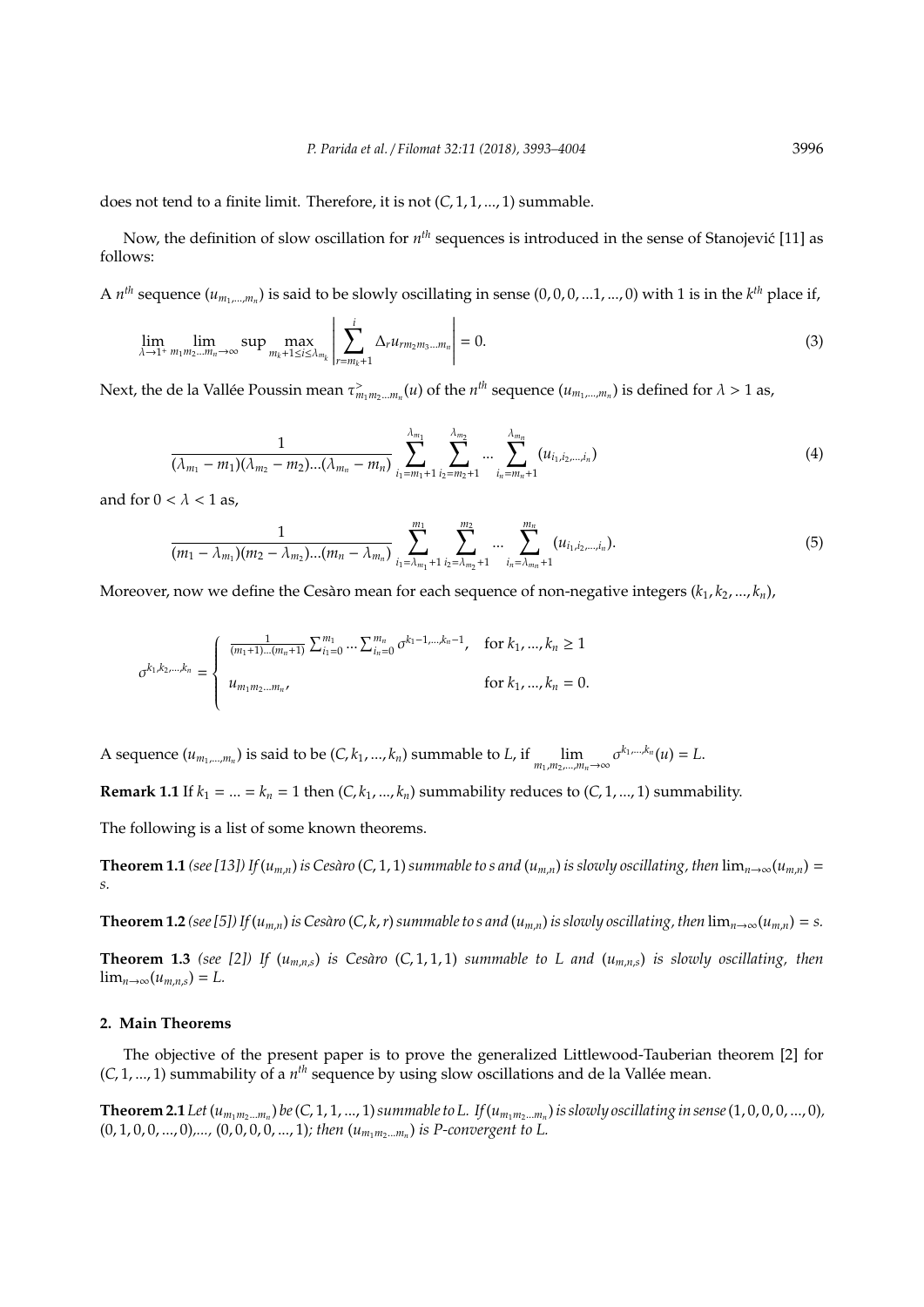does not tend to a finite limit. Therefore, it is not (*C*, 1, 1, ..., 1) summable.

Now, the definition of slow oscillation for  $n^{th}$  sequences is introduced in the sense of Stanojević [11] as follows:

A  $n^{th}$  sequence  $(u_{m_1,...,m_n})$  is said to be slowly oscillating in sense  $(0,0,0,...1,...,0)$  with 1 is in the  $k^{th}$  place if,

$$
\lim_{\lambda \to 1^+} \lim_{m_1 m_2 \dots m_n \to \infty} \sup \max_{m_k + 1 \le i \le \lambda_{m_k}} \left| \sum_{r = m_k + 1}^i \Delta_r u_{r m_2 m_3 \dots m_n} \right| = 0.
$$
\n(3)

Next, the de la Vallée Poussin mean  $\tau^>_{m_1m_2...m_n}(u)$  of the  $n^{th}$  sequence  $(u_{m_1,...,m_n})$  is defined for  $\lambda>1$  as,

$$
\frac{1}{(\lambda_{m_1}-m_1)(\lambda_{m_2}-m_2)...(\lambda_{m_n}-m_n)}\sum_{i_1=m_1+1}^{\lambda_{m_1}}\sum_{i_2=m_2+1}^{\lambda_{m_2}}... \sum_{i_n=m_n+1}^{\lambda_{m_n}}(u_{i_1,i_2,...,i_n})
$$
(4)

and for  $0 < \lambda < 1$  as,

$$
\frac{1}{(m_1-\lambda_{m_1})(m_2-\lambda_{m_2})...(m_n-\lambda_{m_n})}\sum_{i_1=\lambda_{m_1}+1}^{m_1}\sum_{i_2=\lambda_{m_2}+1}^{m_2}\cdots\sum_{i_n=\lambda_{m_n}+1}^{m_n}(u_{i_1,i_2,\ldots,i_n}).
$$
\n(5)

Moreover, now we define the Cesaro mean for each sequence of non-negative integers  $(k_1, k_2, ..., k_n)$ ,

$$
\sigma^{k_1, k_2, \dots, k_n} = \begin{cases} \frac{1}{(m_1 + 1) \dots (m_n + 1)} \sum_{i_1 = 0}^{m_1} \dots \sum_{i_n = 0}^{m_n} \sigma^{k_1 - 1, \dots, k_n - 1}, & \text{for } k_1, \dots, k_n \ge 1 \\ u_{m_1 m_2 \dots m_n}, & \text{for } k_1, \dots, k_n = 0. \end{cases}
$$

A sequence  $(u_{m_1,...,m_n})$  is said to be  $(C, k_1,...,k_n)$  summable to L, if  $\lim_{m_1,m_2,...,m_n\to\infty} \sigma^{k_1,...,k_n}(u) = L$ .

**Remark 1.1** If  $k_1 = ... = k_n = 1$  then  $(C, k_1, ..., k_n)$  summability reduces to  $(C, 1, ..., 1)$  summability.

The following is a list of some known theorems.

**Theorem 1.1** (see [13]) If  $(u_{m,n})$  is Cesàro (C, 1, 1) summable to s and  $(u_{m,n})$  is slowly oscillating, then  $\lim_{n\to\infty}(u_{m,n})=$ *s.*

**Theorem 1.2** (see [5]) If  $(u_{m,n})$  is Cesàro (C, k, r) summable to s and  $(u_{m,n})$  is slowly oscillating, then  $\lim_{n\to\infty}(u_{m,n})=s$ .

**Theorem 1.3** *(see [2])* If  $(u_{m,n,s})$  *is Cesàro*  $(C, 1, 1, 1)$  *summable to L and*  $(u_{m,n,s})$  *is slowly oscillating, then*  $\lim_{n\to\infty}(u_{m,n,s})=L.$ 

### **2. Main Theorems**

The objective of the present paper is to prove the generalized Littlewood-Tauberian theorem [2] for (*C*, 1, ..., 1) summability of a  $n<sup>th</sup>$  sequence by using slow oscillations and de la Vallée mean.

**Theorem 2.1** Let  $(u_{m_1m_2...m_n})$  be  $(C,1,1,...,1)$  summable to L. If  $(u_{m_1m_2...m_n})$  is slowly oscillating in sense  $(1,0,0,0,...,0)$ ,  $(0, 1, 0, 0, \ldots, 0)$ ,...,  $(0, 0, 0, 0, \ldots, 1)$ ; then  $(u_{m_1m_2\ldots m_n})$  is P-convergent to L.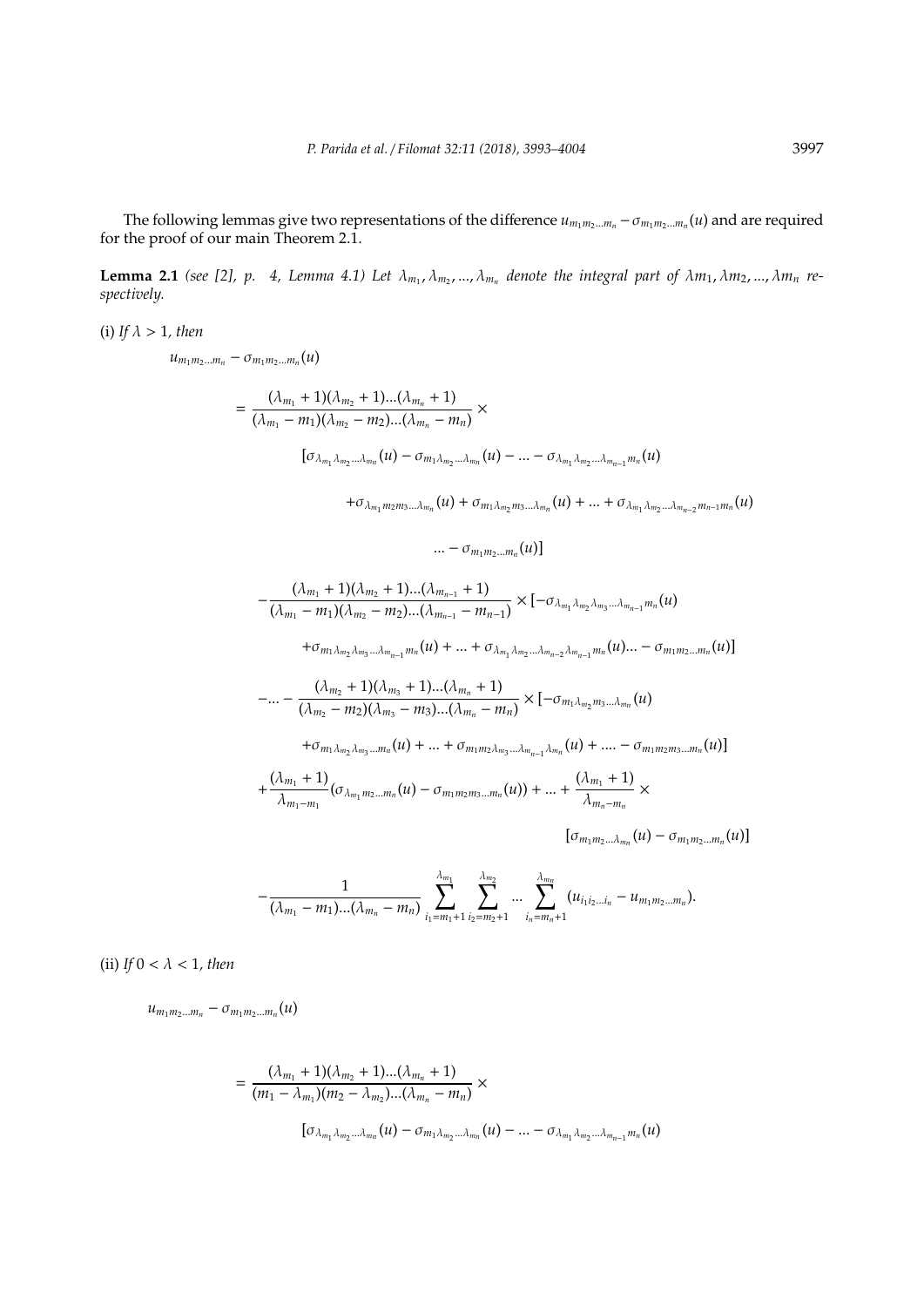The following lemmas give two representations of the difference  $u_{m_1m_2...m_n} - \sigma_{m_1m_2...m_n}(u)$  and are required for the proof of our main Theorem 2.1.

**Lemma 2.1** (see [2], p. 4, Lemma 4.1) Let  $\lambda_{m_1}, \lambda_{m_2}, ..., \lambda_{m_n}$  denote the integral part of  $\lambda m_1, \lambda m_2, ..., \lambda m_n$  re*spectively.*

(i) *If*  $\lambda > 1$ *, then* 

 $u_{m_1m_2...m_n} - \sigma_{m_1m_2...m_n}(u)$ 

$$
= \frac{(\lambda_{m_1} + 1)(\lambda_{m_2} + 1)...(\lambda_{m_n} + 1)}{(\lambda_{m_1} - m_1)(\lambda_{m_2} - m_2)...(\lambda_{m_n} - m_n)} \times
$$

$$
[\sigma_{\lambda_{m_1}\lambda_{m_2}...\lambda_{m_n}}(u) - \sigma_{m_1\lambda_{m_2}...\lambda_{m_n}}(u) - ... - \sigma_{\lambda_{m_1}\lambda_{m_2}...\lambda_{m_{n-1}}m_n}(u)
$$

 $+ \sigma_{\lambda_{m_1} m_2 m_3 ... \lambda_{m_n}}(u) + \sigma_{m_1 \lambda_{m_2} m_3 ... \lambda_{m_n}}(u) + ... + \sigma_{\lambda_{m_1} \lambda_{m_2} ... \lambda_{m_{n-2}} m_{n-1} m_n}(u)$ 

$$
...-\sigma_{m_1m_2...m_n}(u)]
$$

$$
-\frac{(\lambda_{m_1}+1)(\lambda_{m_2}+1)...(\lambda_{m_{n-1}}+1)}{(\lambda_{m_1}-m_1)(\lambda_{m_2}-m_2)...(\lambda_{m_{n-1}}-m_{n-1})} \times [-\sigma_{\lambda_{m_1}\lambda_{m_2}\lambda_{m_3}...\lambda_{m_{n-1}}m_n}(u)
$$

 $+ \sigma_{m_1 \lambda_{m_2} \lambda_{m_3} \ldots \lambda_{m_{n-1}} m_n}(u) + \ldots + \sigma_{\lambda_{m_1} \lambda_{m_2} \ldots \lambda_{m_{n-2}} \lambda_{m_{n-1}} m_n}(u) \ldots - \sigma_{m_1 m_2 \ldots m_n}(u)$ 

$$
-... - \frac{(\lambda_{m_2} + 1)(\lambda_{m_3} + 1)...(\lambda_{m_n} + 1)}{(\lambda_{m_2} - m_2)(\lambda_{m_3} - m_3)...(\lambda_{m_n} - m_n)} \times [-\sigma_{m_1\lambda_{m_2}m_3...\lambda_{m_n}}(u)
$$

 $+ \sigma_{m_1 \lambda_{m_2} \lambda_{m_3} \dots m_n}(u) + \dots + \sigma_{m_1 m_2 \lambda_{m_3} \dots \lambda_{m_{n-1}} \lambda_{m_n}}(u) + \dots - \sigma_{m_1 m_2 m_3 \dots m_n}(u)$ 

$$
+\frac{(\lambda_{m_1}+1)}{\lambda_{m_1-m_1}}(\sigma_{\lambda_{m_1}m_2...m_n}(u)-\sigma_{m_1m_2m_3...m_n}(u))+...+\frac{(\lambda_{m_1}+1)}{\lambda_{m_n-m_n}}\times
$$

 $[\sigma_{m_1m_2... \lambda_{m_n}}(u) - \sigma_{m_1m_2...m_n}(u)]$ 

$$
-\frac{1}{(\lambda_{m_1}-m_1)...(\lambda_{m_n}-m_n)}\sum_{i_1=m_1+1}^{\lambda_{m_1}}\sum_{i_2=m_2+1}^{\lambda_{m_2}}... \sum_{i_n=m_n+1}^{\lambda_{m_n}}(u_{i_1i_2...i_n}-u_{m_1m_2...m_n}).
$$

(ii)  $If 0 < \lambda < 1, then$ 

 $u_{m_1m_2...m_n} - \sigma_{m_1m_2...m_n}(u)$ 

$$
= \frac{(\lambda_{m_1} + 1)(\lambda_{m_2} + 1)...(\lambda_{m_n} + 1)}{(m_1 - \lambda_{m_1})(m_2 - \lambda_{m_2})...( \lambda_{m_n} - m_n)} \times [\sigma_{\lambda_{m_1}\lambda_{m_2}... \lambda_{m_n}}(u) - \sigma_{m_1\lambda_{m_2}...\lambda_{m_n}}(u) - ... - \sigma_{\lambda_{m_1}\lambda_{m_2}...\lambda_{m_{n-1}}m_n}(u)
$$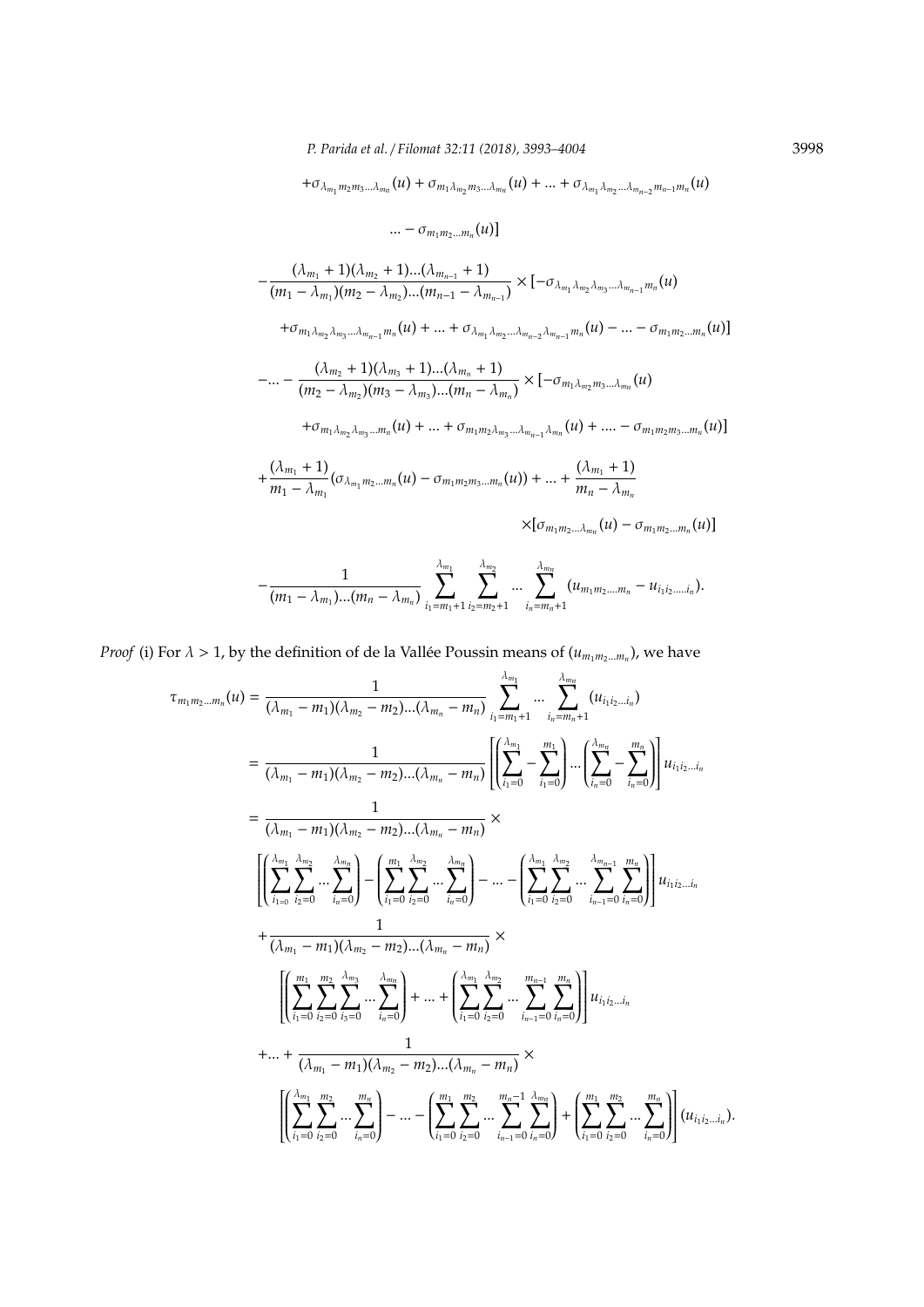$+ \sigma_{\lambda_{m_1} m_2 m_3 ... \lambda_{m_n}}(u) + \sigma_{m_1 \lambda_{m_2} m_3 ... \lambda_{m_n}}(u) + ... + \sigma_{\lambda_{m_1} \lambda_{m_2} ... \lambda_{m_{n-2}} m_{n-1} m_n}(u)$ 

...  $-\sigma_{m_1m_2...m_n}(u)$ ]

$$
-\frac{(\lambda_{m_1}+1)(\lambda_{m_2}+1)...(\lambda_{m_{n-1}}+1)}{(m_1-\lambda_{m_1})(m_2-\lambda_{m_2})...(m_{n-1}-\lambda_{m_{n-1}})} \times [-\sigma_{\lambda_{m_1}\lambda_{m_2}\lambda_{m_3}...\lambda_{m_{n-1}}m_n}(u)
$$

 $+ \sigma_{m_1 \lambda_{m_2} \lambda_{m_3} \dots \lambda_{m_{n-1}} m_n}(u) + \dots + \sigma_{\lambda_{m_1} \lambda_{m_2} \dots \lambda_{m_{n-2}} \lambda_{m_{n-1}} m_n}(u) - \dots - \sigma_{m_1 m_2 \dots m_n}(u)$ 

$$
-... - \frac{(\lambda_{m_2} + 1)(\lambda_{m_3} + 1)...(\lambda_{m_n} + 1)}{(m_2 - \lambda_{m_2})(m_3 - \lambda_{m_3})...(m_n - \lambda_{m_n})} \times [-\sigma_{m_1\lambda_{m_2}m_3...\lambda_{m_n}}(u) + \sigma_{m_1\lambda_{m_2}\lambda_{m_3}...\mu_n}(u) + ... + \sigma_{m_1m_2\lambda_{m_3}...\lambda_{m_{n-1}}\lambda_{m_n}}(u) + ... - \sigma_{m_1m_2m_3...\mu_n}(u)]
$$

$$
+\frac{(\lambda_{m_1}+1)}{m_1-\lambda_{m_1}}(\sigma_{\lambda_{m_1}m_2\ldots m_n}(u)-\sigma_{m_1m_2m_3\ldots m_n}(u))+\ldots +\frac{(\lambda_{m_1}+1)}{m_n-\lambda_{m_n}}
$$

 $\times[\sigma_{m_1m_2... \lambda_{m_n}}(u) - \sigma_{m_1m_2...m_n}(u)]$ 

$$
-\frac{1}{(m_1-\lambda_{m_1})...(m_n-\lambda_{m_n})}\sum_{i_1=m_1+1}^{\lambda_{m_1}}\sum_{i_2=m_2+1}^{\lambda_{m_2}}\cdots\sum_{i_n=m_n+1}^{\lambda_{m_n}}(u_{m_1m_2...m_n}-u_{i_1i_2,...i_n}).
$$

*Proof* (i) For  $\lambda > 1$ , by the definition of de la Vallée Poussin means of  $(u_{m_1m_2...m_n})$ , we have

$$
\tau_{m_1m_2...m_n}(u) = \frac{1}{(\lambda_{m_1} - m_1)(\lambda_{m_2} - m_2)...(\lambda_{m_n} - m_n)} \sum_{i_1 = m_1 + 1}^{\lambda_{m_1}} ... \sum_{i_n = m_n + 1}^{\lambda_{m_n}} (u_{i_1 i_2...i_n})
$$
  
\n
$$
= \frac{1}{(\lambda_{m_1} - m_1)(\lambda_{m_2} - m_2)...(\lambda_{m_n} - m_n)} \left[ \left( \sum_{i_1 = 0}^{\lambda_{m_1}} - \sum_{i_1 = 0}^{m_1} \right) ... \left( \sum_{i_n = 0}^{\lambda_{m_n}} - \sum_{i_n = 0}^{m_n} \right) \right] u_{i_1 i_2...i_n}
$$
  
\n
$$
= \frac{1}{(\lambda_{m_1} - m_1)(\lambda_{m_2} - m_2)...(\lambda_{m_n} - m_n)} \times \left[ \left( \sum_{i_1 = 0}^{\lambda_{m_1}} \sum_{i_2 = 0}^{\lambda_{m_2}} ... \sum_{i_n = 0}^{\lambda_{m_n}} \right) - \left( \sum_{i_1 = 0}^{\lambda_{m_1}} \sum_{i_2 = 0}^{\lambda_{m_1}} ... \sum_{i_n = 0}^{\lambda_{m_n}} \right) \right] u_{i_1 i_2...i_n}
$$
  
\n
$$
+ \frac{1}{(\lambda_{m_1} - m_1)(\lambda_{m_2} - m_2)...(\lambda_{m_n} - m_n)} \times \left[ \left( \sum_{i_1 = 0}^{\lambda_{m_1}} \sum_{i_2 = 0}^{\lambda_{m_2}} \sum_{i_n = 0}^{\lambda_{m_1}} \right) + ... + \left( \sum_{i_1 = 0}^{\lambda_{m_1}} \sum_{i_2 = 0}^{\lambda_{m_1}} ... \sum_{i_n = 0}^{\lambda_{m_n}} \right) \right] u_{i_1 i_2...i_n}
$$
  
\n
$$
+ ... + \frac{1}{(\lambda_{m_1} - m_1)(\lambda_{m_2} - m_2)...(\lambda_{m_n} - m_n)} \times \left[ \left( \sum_{i_1 = 0}^{\lambda_{m_1}} \sum_{i_2 = 0}^{\lambda_{m_1}} ... \sum_{i_n = 0}^{\lambda_{m_n}} \right) - ... - \
$$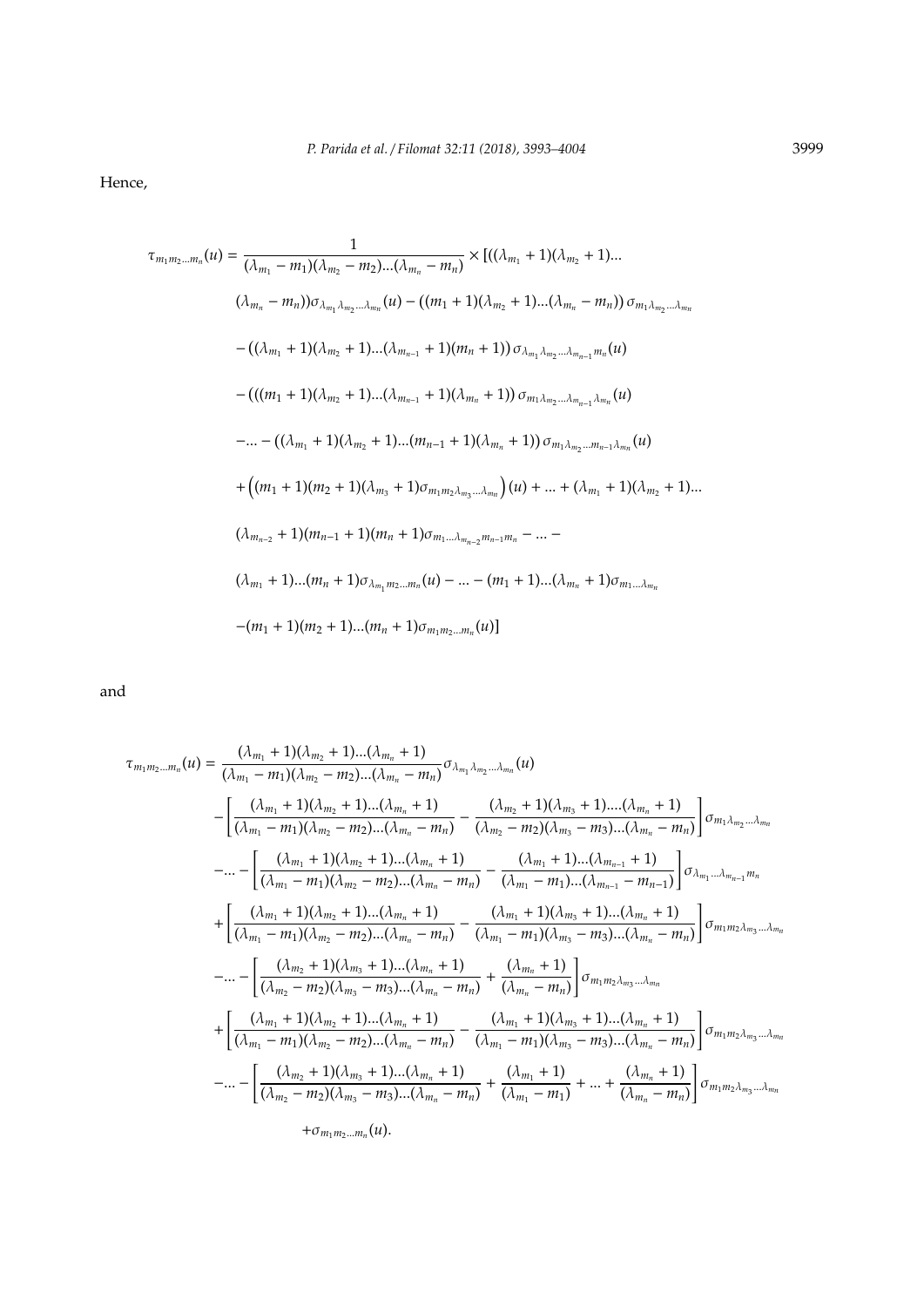Hence,

$$
\tau_{m_1m_2...m_n}(u) = \frac{1}{(\lambda_{m_1} - m_1)(\lambda_{m_2} - m_2)...(\lambda_{m_n} - m_n)} \times [((\lambda_{m_1} + 1)(\lambda_{m_2} + 1)...
$$

$$
(\lambda_{m_n} - m_n)) \sigma_{\lambda_{m_1} \lambda_{m_2} ... \lambda_{m_n}}(u) - ((m_1 + 1)(\lambda_{m_2} + 1)...(\lambda_{m_n} - m_n)) \sigma_{m_1 \lambda_{m_2} ... \lambda_{m_n}}
$$

$$
-((\lambda_{m_1} + 1)(\lambda_{m_2} + 1)...(\lambda_{m_{n-1}} + 1)(m_n + 1)) \sigma_{\lambda_{m_1} \lambda_{m_2} ... \lambda_{m_{n-1}} m_n}(u)
$$

$$
-(((m_1 + 1)(\lambda_{m_2} + 1)...(\lambda_{m_{n-1}} + 1)(\lambda_{m_n} + 1)) \sigma_{m_1 \lambda_{m_2} ... \lambda_{m_{n-1}} \lambda_{m_n}}(u)
$$

$$
-... -((\lambda_{m_1} + 1)(\lambda_{m_2} + 1)...(m_{n-1} + 1)(\lambda_{m_n} + 1)) \sigma_{m_1 \lambda_{m_2} ... m_{n-1} \lambda_{m_n}}(u)
$$

$$
+((m_1 + 1)(m_2 + 1)(\lambda_{m_3} + 1) \sigma_{m_1 m_2 \lambda_{m_3} ... \lambda_{m_n}})(u) + ... + (\lambda_{m_1} + 1)(\lambda_{m_2} + 1)...
$$

$$
(\lambda_{m_{n-2}} + 1)(m_{n-1} + 1)(m_n + 1) \sigma_{m_1 ... \lambda_{m_{n-2}} m_{n-1} m_n} - ... -
$$

$$
(\lambda_{m_1} + 1)...(m_n + 1) \sigma_{\lambda_{m_1} m_2 ... m_n}(u) - ... - (m_1 + 1)...(\lambda_{m_n} + 1) \sigma_{m_1 ... \lambda_{m_n}}
$$

$$
-(m_1 + 1)(m_2 + 1)...(m_n + 1) \sigma_{m_1 m_2 ... m_n}(u)]
$$

and

$$
\tau_{m_1m_2...m_n}(u) = \frac{(\lambda_{m_1} + 1)(\lambda_{m_2} + 1)...(\lambda_{m_n} + 1)}{(\lambda_{m_1} - m_1)(\lambda_{m_2} - m_2)...(\lambda_{m_n} - m_n)} \sigma_{\lambda_{m_1} \lambda_{m_2}... \lambda_{m_n}}(u)
$$
\n
$$
- \left[ \frac{(\lambda_{m_1} + 1)(\lambda_{m_2} + 1)...(\lambda_{m_n} + 1)}{(\lambda_{m_1} - m_1)(\lambda_{m_2} - m_2)...(\lambda_{m_n} - m_n)} - \frac{(\lambda_{m_2} + 1)(\lambda_{m_3} + 1)...(\lambda_{m_n} + 1)}{(\lambda_{m_2} - m_2)(\lambda_{m_3} - m_3)...(\lambda_{m_n} - m_n)} \right] \sigma_{m_1 \lambda_{m_2}... \lambda_{m_n}}
$$
\n
$$
-... - \left[ \frac{(\lambda_{m_1} + 1)(\lambda_{m_2} + 1)...(\lambda_{m_n} + 1)}{(\lambda_{m_1} - m_1)(\lambda_{m_2} - m_2)...(\lambda_{m_n} - m_n)} - \frac{(\lambda_{m_1} + 1)...(\lambda_{m_{n-1}} + 1)}{(\lambda_{m_1} - m_1)...(\lambda_{m_n} + 1)} \right] \sigma_{\lambda_{m_1}... \lambda_{m_{n-1}} m_n}
$$
\n
$$
+ \left[ \frac{(\lambda_{m_1} + 1)(\lambda_{m_2} + 1)...(\lambda_{m_n} + 1)}{(\lambda_{m_2} - m_2)...(\lambda_{m_n} - m_n)} - \frac{(\lambda_{m_1} + 1)(\lambda_{m_3} + 1)...(\lambda_{m_n} + 1)}{(\lambda_{m_1} - m_1)(\lambda_{m_3} - m_3)...(\lambda_{m_n} - m_n)} \right] \sigma_{m_1 m_2 \lambda_{m_3}... \lambda_{m_n}}
$$
\n
$$
-... - \left[ \frac{(\lambda_{m_2} + 1)(\lambda_{m_3} + 1)...(\lambda_{m_n} + 1)}{(\lambda_{m_2} - m_2)(\lambda_{m_3} - m_3)...(\lambda_{m_n} - m_n)} + \frac{(\lambda_{m_1} + 1)(\lambda_{m_3} + 1)...(\lambda_{m_n} + 1)}{(\lambda_{m_1} - m_1)(\lambda_{m_3
$$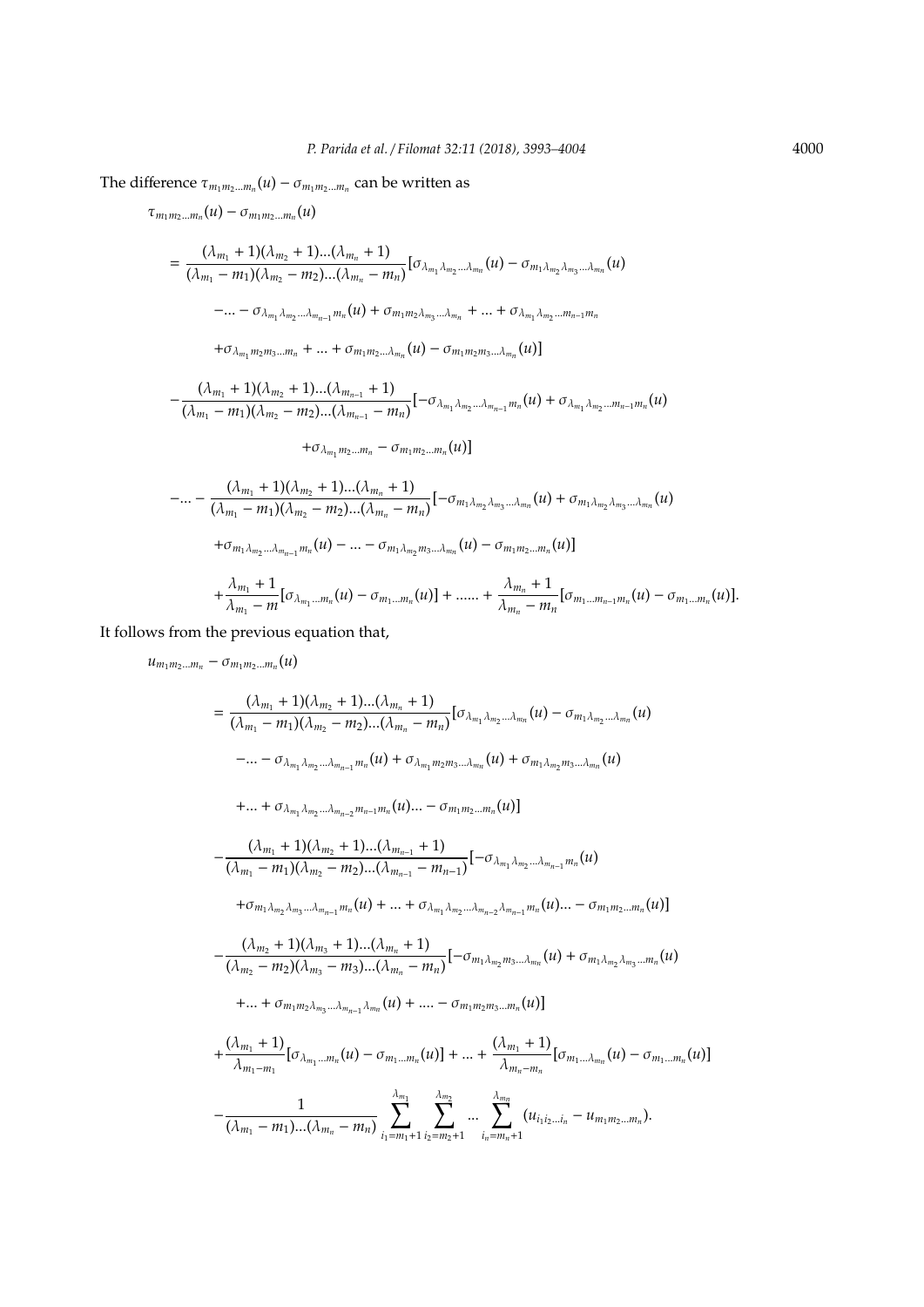The difference  $\tau_{m_1m_2...m_n}(u) - \sigma_{m_1m_2...m_n}$  can be written as

$$
\tau_{m_1m_2...m_n}(u) - \sigma_{m_1m_2...m_n}(u)
$$
\n
$$
= \frac{(\lambda_{m_1} + 1)(\lambda_{m_2} + 1)...(\lambda_{m_n} + 1)}{(\lambda_{m_1} - m_1)(\lambda_{m_2} - m_2)...(\lambda_{m_n} - m_n)} [\sigma_{\lambda_{m_1}\lambda_{m_2}...\lambda_{m_n}}(u) - \sigma_{m_1\lambda_{m_2}\lambda_{m_3}...\lambda_{m_n}}(u)
$$
\n
$$
-... - \sigma_{\lambda_{m_1}\lambda_{m_2}...\lambda_{m_{n-1}}m_n}(u) + \sigma_{m_1m_2\lambda_{m_3}...\lambda_{m_n}} + ... + \sigma_{\lambda_{m_1}\lambda_{m_2}...\mu_{n-1}m_n}
$$
\n
$$
+ \sigma_{\lambda_{m_1}m_2m_3...\mu_n} + ... + \sigma_{m_1m_2...\lambda_{m_n}}(u) - \sigma_{m_1m_2m_3...\lambda_{m_n}}(u)]
$$
\n
$$
(\lambda_{m_1} + 1)(\lambda_{m_2} + 1)...(\lambda_{m_{n-1}} + 1)
$$
\n
$$
\sigma_{\lambda_{m_1}m_2...\lambda_{m_n}}(u) = \sigma_{\lambda_{m_1}m_2...\lambda_{m_n}}(u)
$$

$$
-\frac{(\lambda_{m_1}+1)(\lambda_{m_2}+1)...(\lambda_{m_{n-1}}+1)}{(\lambda_{m_1}-m_1)(\lambda_{m_2}-m_2)...(\lambda_{m_{n-1}}-m_n)}[-\sigma_{\lambda_{m_1}\lambda_{m_2}...\lambda_{m_{n-1}}m_n}(u)+\sigma_{\lambda_{m_1}\lambda_{m_2}...\mu_{n-1}m_n}(u)]
$$

$$
+\sigma_{\lambda_{m_1}m_2\ldots m_n}-\sigma_{m_1m_2\ldots m_n}(u)]
$$

$$
-... - \frac{(\lambda_{m_1} + 1)(\lambda_{m_2} + 1)...(\lambda_{m_n} + 1)}{(\lambda_{m_1} - m_1)(\lambda_{m_2} - m_2)...(\lambda_{m_n} - m_n)}[-\sigma_{m_1\lambda_{m_2}\lambda_{m_3}...\lambda_{m_n}}(u) + \sigma_{m_1\lambda_{m_2}\lambda_{m_3}...\lambda_{m_n}}(u) + \sigma_{m_1\lambda_{m_2}...\lambda_{m_{n-1}}m_n}(u) - ... - \sigma_{m_1\lambda_{m_2}m_3...\lambda_{m_n}}(u) - \sigma_{m_1m_2...\mu_n}(u)] + \frac{\lambda_{m_1} + 1}{\lambda_{m_1} - m}[\sigma_{\lambda_{m_1}...\mu_n}(u) - \sigma_{m_1...\mu_n}(u)] + ... + \frac{\lambda_{m_n} + 1}{\lambda_{m_n} - m_n}[\sigma_{m_1...\mu_{n-1}m_n}(u) - \sigma_{m_1...\mu_n}(u)].
$$

It follows from the previous equation that,

$$
u_{m_1m_2...m_n} - \sigma_{m_1m_2...m_n}(u)
$$
\n
$$
= \frac{(\lambda_{m_1} + 1)(\lambda_{m_2} + 1)...(\lambda_{m_n} + 1)}{(\lambda_{m_1} - m_1)(\lambda_{m_2} - m_2)...(\lambda_{m_n} - m_n)} [\sigma_{\lambda_{m_1} \lambda_{m_2}...\lambda_{m_n}}(u) - \sigma_{m_1 \lambda_{m_2}...\lambda_{m_n}}(u)
$$
\n
$$
-... - \sigma_{\lambda_{m_1} \lambda_{m_2}...\lambda_{m_{n-1}}m_n}(u) + \sigma_{\lambda_{m_1} m_2 m_3...\lambda_{m_n}}(u) + \sigma_{m_1 \lambda_{m_2} m_3...\lambda_{m_n}}(u)
$$
\n
$$
+... + \sigma_{\lambda_{m_1} \lambda_{m_2}...\lambda_{m_{n-2}}m_{n-1}m_n}(u) \dots - \sigma_{m_1 m_2...\mu_n}(u)]
$$
\n
$$
- \frac{(\lambda_{m_1} + 1)(\lambda_{m_2} + 1)...(\lambda_{m_{n-1}} + 1)}{(\lambda_{m_1} - m_1)(\lambda_{m_2} - m_2)...(\lambda_{m_{n-1}} - m_{n-1})} [-\sigma_{\lambda_{m_1} \lambda_{m_2}...\lambda_{m_{n-1}}m_n}(u)
$$
\n
$$
+ \sigma_{m_1 \lambda_{m_2} \lambda_{m_3}...\lambda_{m_{n-1}}m_n}(u) + ... + \sigma_{\lambda_{m_1} \lambda_{m_2}...\lambda_{m_{n-2}}\lambda_{m_{n-1}}m_n}(u) \dots - \sigma_{m_1 m_2...\mu_n}(u)]
$$
\n
$$
- \frac{(\lambda_{m_2} + 1)(\lambda_{m_3} + 1)...(\lambda_{m_n} + 1)}{(\lambda_{m_2} - m_2)(\lambda_{m_3} - m_3)...(\lambda_{m_n} - m_n)} [-\sigma_{m_1 \lambda_{m_2} m_3...\lambda_{m_n}}(u) + \sigma_{m_1 \lambda_{m_2} \lambda_{m_3}...\mu_n}(u)
$$
\n
$$
+... + \sigma_{m_1 m_2 \lambda_{m_3}...\lambda_{m_{n-1}}\lambda_{m_n}}(u) + ... - \sigma_{m_1 m_2 m_3...\mu_n}(u)]
$$
\n
$$
+
$$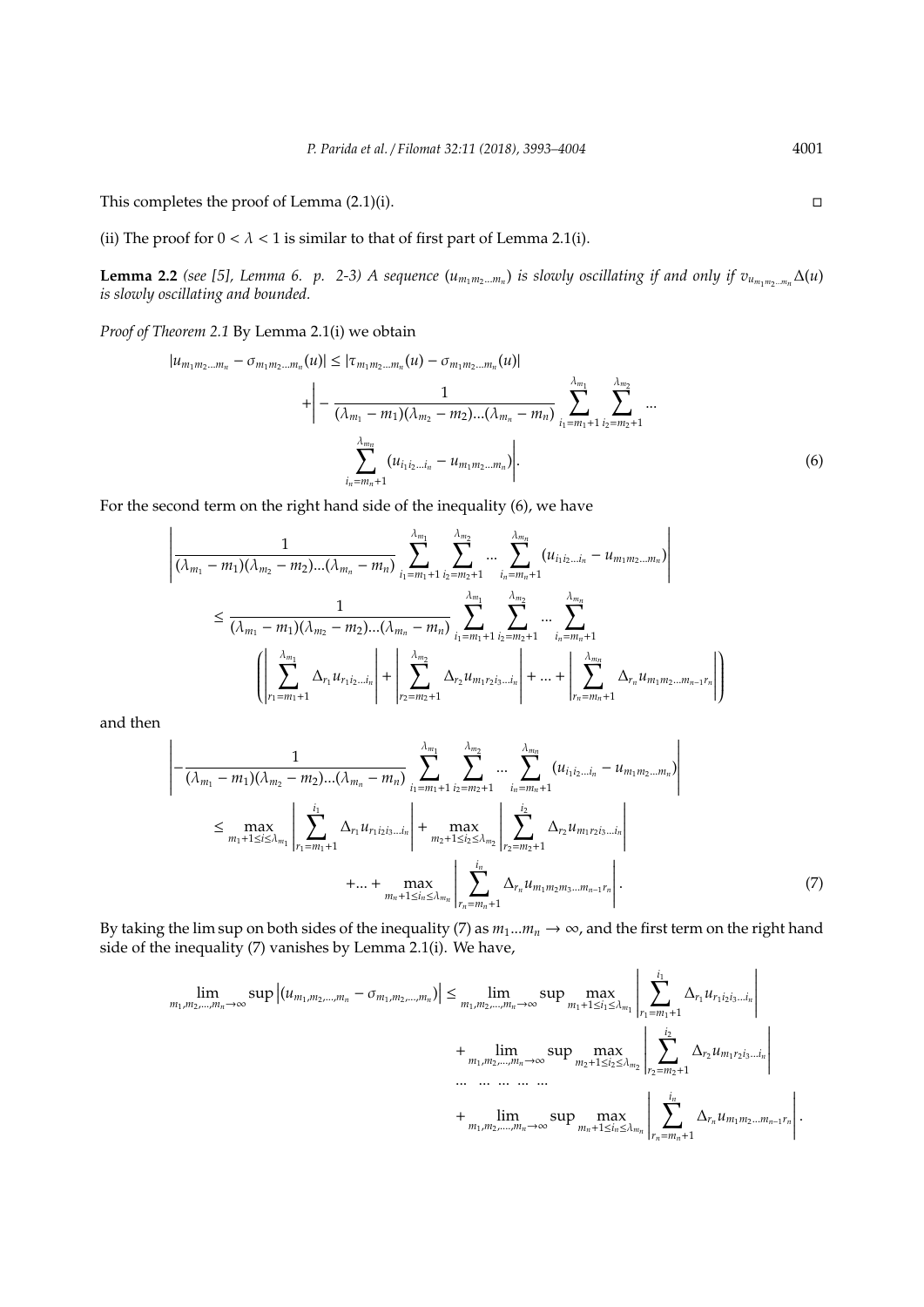This completes the proof of Lemma  $(2.1)(i)$ .

(ii) The proof for  $0 < \lambda < 1$  is similar to that of first part of Lemma 2.1(i).

**Lemma 2.2** (see [5], Lemma 6. p. 2-3) A sequence  $(u_{m_1m_2...m_n})$  is slowly oscillating if and only if  $v_{u_{m_1m_2...m_n}}\Delta(u)$ *is slowly oscillating and bounded.*

*Proof of Theorem 2.1* By Lemma 2.1(i) we obtain

$$
|u_{m_1m_2...m_n} - \sigma_{m_1m_2...m_n}(u)| \leq |\tau_{m_1m_2...m_n}(u) - \sigma_{m_1m_2...m_n}(u)|
$$
  
+ 
$$
\Big| - \frac{1}{(\lambda_{m_1} - m_1)(\lambda_{m_2} - m_2)...(\lambda_{m_n} - m_n)} \sum_{i_1=m_1+1}^{\lambda_{m_1}} \sum_{i_2=m_2+1}^{\lambda_{m_2}} ...
$$
  

$$
\sum_{i_n=m_n+1}^{\lambda_{m_n}} (u_{i_1i_2...i_n} - u_{m_1m_2...m_n}) \Big|.
$$
 (6)

(*u*)|

For the second term on the right hand side of the inequality (6), we have

$$
\left| \frac{1}{(\lambda_{m_1} - m_1)(\lambda_{m_2} - m_2)...(\lambda_{m_n} - m_n)} \sum_{i_1 = m_1 + 1}^{\lambda_{m_1}} \sum_{i_2 = m_2 + 1}^{\lambda_{m_2}} ... \sum_{i_n = m_n + 1}^{\lambda_{m_n}} (u_{i_1 i_2 ... i_n} - u_{m_1 m_2 ... m_n}) \right|
$$
  
\n
$$
\leq \frac{1}{(\lambda_{m_1} - m_1)(\lambda_{m_2} - m_2)...(\lambda_{m_n} - m_n)} \sum_{i_1 = m_1 + 1}^{\lambda_{m_1}} \sum_{i_2 = m_2 + 1}^{\lambda_{m_2}} ... \sum_{i_n = m_n + 1}^{\lambda_{m_n}} (u_{i_1 i_2 ... i_n} - u_{m_1 m_2 ... m_n}) \right|
$$
  
\n
$$
\left( \left| \sum_{r_1 = m_1 + 1}^{\lambda_{m_1}} \Delta_{r_1} u_{r_1 i_2 ... i_n} \right| + \left| \sum_{r_2 = m_2 + 1}^{\lambda_{m_2}} \Delta_{r_2} u_{m_1 r_2 i_3 ... i_n} \right| + ... + \left| \sum_{r_n = m_n + 1}^{\lambda_{m_n}} \Delta_{r_n} u_{m_1 m_2 ... m_{n-1} r_n} \right| \right)
$$

and then

$$
\left| -\frac{1}{(\lambda_{m_1} - m_1)(\lambda_{m_2} - m_2)...(\lambda_{m_n} - m_n)} \sum_{i_1 = m_1 + 1}^{\lambda_{m_1}} \sum_{i_2 = m_2 + 1}^{\lambda_{m_2}} ... \sum_{i_n = m_n + 1}^{\lambda_{m_n}} (u_{i_1 i_2 ... i_n} - u_{m_1 m_2 ... m_n}) \right|
$$
  
\n
$$
\leq \max_{m_1 + 1 \leq i \leq \lambda_{m_1}} \left| \sum_{r_1 = m_1 + 1}^{i_1} \Delta_{r_1} u_{r_1 i_2 i_3 ... i_n} \right| + \max_{m_2 + 1 \leq i_2 \leq \lambda_{m_2}} \left| \sum_{r_2 = m_2 + 1}^{i_2} \Delta_{r_2} u_{m_1 r_2 i_3 ... i_n} \right|
$$
  
\n
$$
+ ... + \max_{m_n + 1 \leq i_n \leq \lambda_{m_n}} \left| \sum_{r_n = m_n + 1}^{i_n} \Delta_{r_n} u_{m_1 m_2 m_3 ... m_{n-1} r_n} \right|.
$$
 (7)

By taking the lim sup on both sides of the inequality (7) as  $m_1...m_n \to \infty$ , and the first term on the right hand side of the inequality (7) vanishes by Lemma 2.1(i). We have,

$$
\lim_{m_1, m_2, \dots, m_n \to \infty} \sup |(u_{m_1, m_2, \dots, m_n} - \sigma_{m_1, m_2, \dots, m_n})| \le \lim_{m_1, m_2, \dots, m_n \to \infty} \sup \max_{m_1 + 1 \le i_1 \le \lambda_{m_1}} \left| \sum_{r_1 = m_1 + 1}^{i_1} \Delta_{r_1} u_{r_1 i_2 i_3 \dots i_n} \right| \n+ \lim_{m_1, m_2, \dots, m_n \to \infty} \sup \max_{m_2 + 1 \le i_2 \le \lambda_{m_2}} \left| \sum_{r_2 = m_2 + 1}^{i_2} \Delta_{r_2} u_{m_1 r_2 i_3 \dots i_n} \right| \n+ \lim_{m_1, m_2, \dots, m_n \to \infty} \sup \max_{m_n + 1 \le i_n \le \lambda_{m_n}} \left| \sum_{r_n = m_n + 1}^{i_2} \Delta_{r_n} u_{m_1 m_2 \dots m_{n-1} r_n} \right|.
$$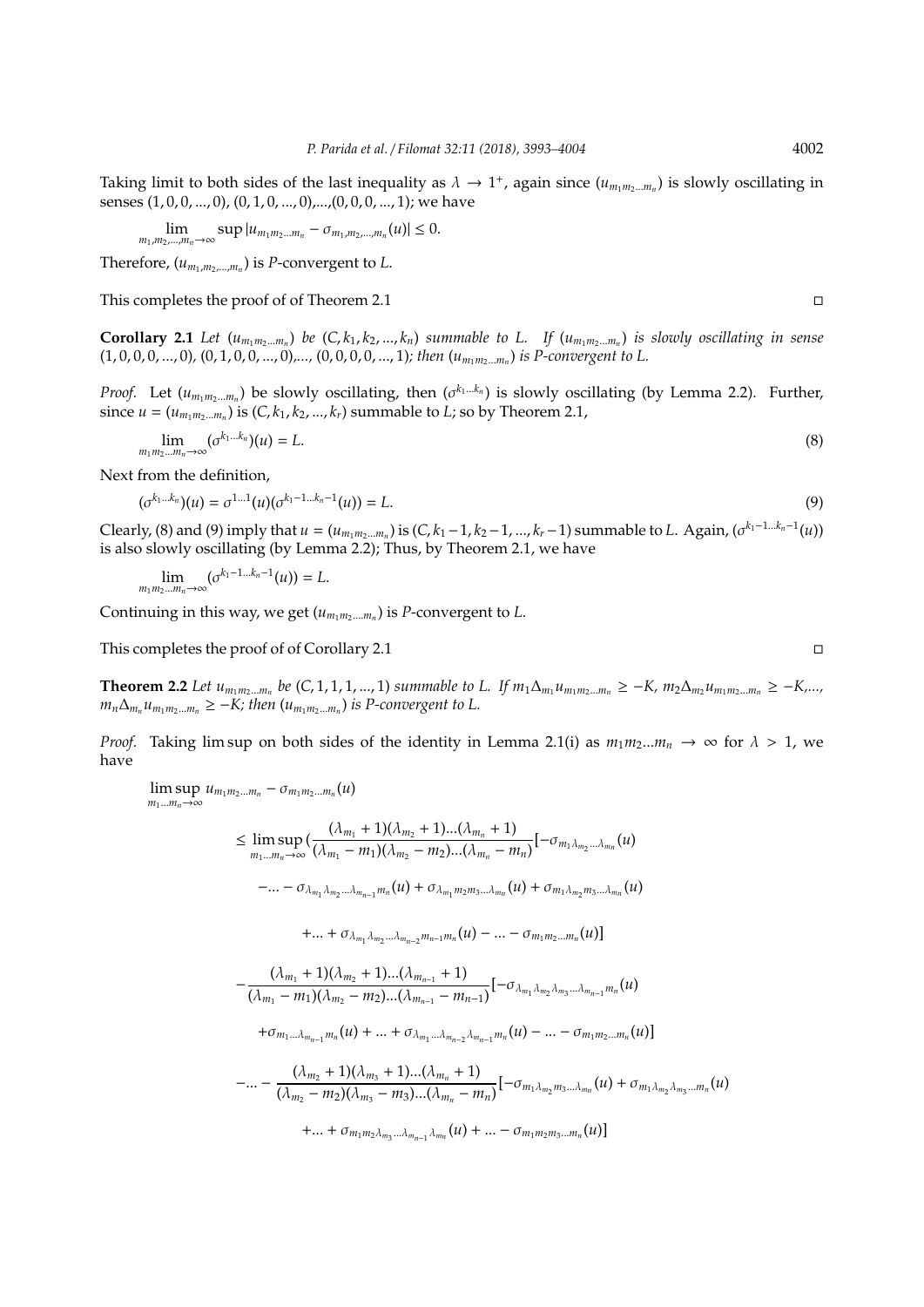Taking limit to both sides of the last inequality as  $\lambda \to 1^+$ , again since  $(u_{m_1m_2...m_n})$  is slowly oscillating in senses (1, 0, 0, ..., 0), (0, 1, 0, ..., 0), ..., (0, 0, 0, ..., 1); we have

$$
\lim_{m_1,m_2,...,m_n\to\infty} \sup |u_{m_1m_2...m_n}-\sigma_{m_1,m_2,...,m_n}(u)|\leq 0.
$$

Therefore,  $(u_{m_1,m_2,...,m_n})$  is *P*-convergent to *L*.

This completes the proof of of Theorem 2.1

**Corollary 2.1** Let  $(u_{m_1m_2...m_n})$  be  $(C, k_1, k_2,..., k_n)$  summable to L. If  $(u_{m_1m_2...m_n})$  is slowly oscillating in sense (1, 0, 0, 0, ..., 0), (0, 1, 0, 0, ..., 0),..., (0, 0, 0, 0, ..., 1); then  $(u_{m_1m_2\dots m_n})$  is P-convergent to L.

*Proof.* Let  $(u_{m_1m_2...m_n})$  be slowly oscillating, then  $(\sigma^{k_1...k_n})$  is slowly oscillating (by Lemma 2.2). Further, since  $u = (u_{m_1m_2\ldots m_n})$  is  $(C, k_1, k_2, \ldots, k_r)$  summable to *L*; so by Theorem 2.1,

$$
\lim_{m_1 m_2 \dots m_n \to \infty} (\sigma^{k_1 \dots k_n})(u) = L. \tag{8}
$$

Next from the definition,

$$
(\sigma^{k_1 \ldots k_n})(u) = \sigma^{1 \ldots 1}(u)(\sigma^{k_1-1 \ldots k_n-1}(u)) = L. \tag{9}
$$

Clearly, (8) and (9) imply that  $u = (u_{m_1m_2...m_n})$  is  $(C, k_1-1, k_2-1, ..., k_r-1)$  summable to L. Again,  $(\sigma^{k_1-1...k_n-1}(u))$ is also slowly oscillating (by Lemma 2.2); Thus, by Theorem 2.1, we have

$$
\lim_{m_1m_2\ldots m_n\to\infty}(\sigma^{k_1-1\ldots k_n-1}(u))=L.
$$

Continuing in this way, we get  $(u_{m_1m_2....m_n})$  is P-convergent to L.

This completes the proof of of Corollary 2.1

**Theorem 2.2** Let  $u_{m_1m_2...m_n}$  be (C, 1, 1, 1, ..., 1) summable to L. If  $m_1\Delta_{m_1}u_{m_1m_2...m_n} \geq -K$ ,  $m_2\Delta_{m_2}u_{m_1m_2...m_n} \geq -K$ ,...,  $m_n \Delta_{m_n} u_{m_1 m_2 \dots m_n} \geq -K$ ; then  $(u_{m_1 m_2 \dots m_n})$  is P-convergent to L.

*Proof.* Taking lim sup on both sides of the identity in Lemma 2.1(i) as  $m_1m_2...m_n \to \infty$  for  $\lambda > 1$ , we have

 $\limsup u_{m_1m_2...m_n} - \sigma_{m_1m_2...m_n}(u)$  $m_1$ ... $m_n$ →∞

$$
\leq \limsup_{m_1...m_n\to\infty}\left(\frac{(\lambda_{m_1}+1)(\lambda_{m_2}+1)...(\lambda_{m_n}+1)}{(\lambda_{m_1}-m_1)(\lambda_{m_2}-m_2)...(\lambda_{m_n}-m_n)}\right[-\sigma_{m_1\lambda_{m_2}...\lambda_{m_n}}(u)\\-\ldots-\sigma_{\lambda_{m_1}\lambda_{m_2}...\lambda_{m_{n-1}}m_n}(u)+\sigma_{\lambda_{m_1}m_2m_3...\lambda_{m_n}}(u)+\sigma_{m_1\lambda_{m_2}m_3...\lambda_{m_n}}(u)
$$

$$
+...+\sigma_{\lambda_{m_{1}}\lambda_{m_{2}}... \lambda_{m_{n-2}}m_{n-1}m_{n}}(u)-...-\sigma_{m_{1}m_{2}...m_{n}}(u)]
$$

$$
-\frac{(\lambda_{m_1}+1)(\lambda_{m_2}+1)...(\lambda_{m_{n-1}}+1)}{(\lambda_{m_1}-m_1)(\lambda_{m_2}-m_2)...(\lambda_{m_{n-1}}-m_{n-1})}\left[-\sigma_{\lambda_{m_1}\lambda_{m_2}\lambda_{m_3}...\lambda_{m_{n-1}}m_n}(u)\right]
$$

$$
+ \sigma_{m_1...\lambda_{m_{n-1}}m_n}(u) + ... + \sigma_{\lambda_{m_1}...\lambda_{m_{n-2}}\lambda_{m_{n-1}}m_n}(u) - ... - \sigma_{m_1m_2...m_n}(u)
$$

$$
-... - \frac{(\lambda_{m_2} + 1)(\lambda_{m_3} + 1)...(\lambda_{m_n} + 1)}{(\lambda_{m_2} - m_2)(\lambda_{m_3} - m_3)...(\lambda_{m_n} - m_n)}[-\sigma_{m_1\lambda_{m_2}m_3...\lambda_{m_n}}(u) + \sigma_{m_1\lambda_{m_2}\lambda_{m_3}...\mu_n}(u)
$$

+... + 
$$
\sigma_{m_1m_2\lambda_{m_3}\ldots\lambda_{m_{n-1}}\lambda_{m_n}}(u)
$$
 + ... -  $\sigma_{m_1m_2m_3\ldots m_n}(u)$ ]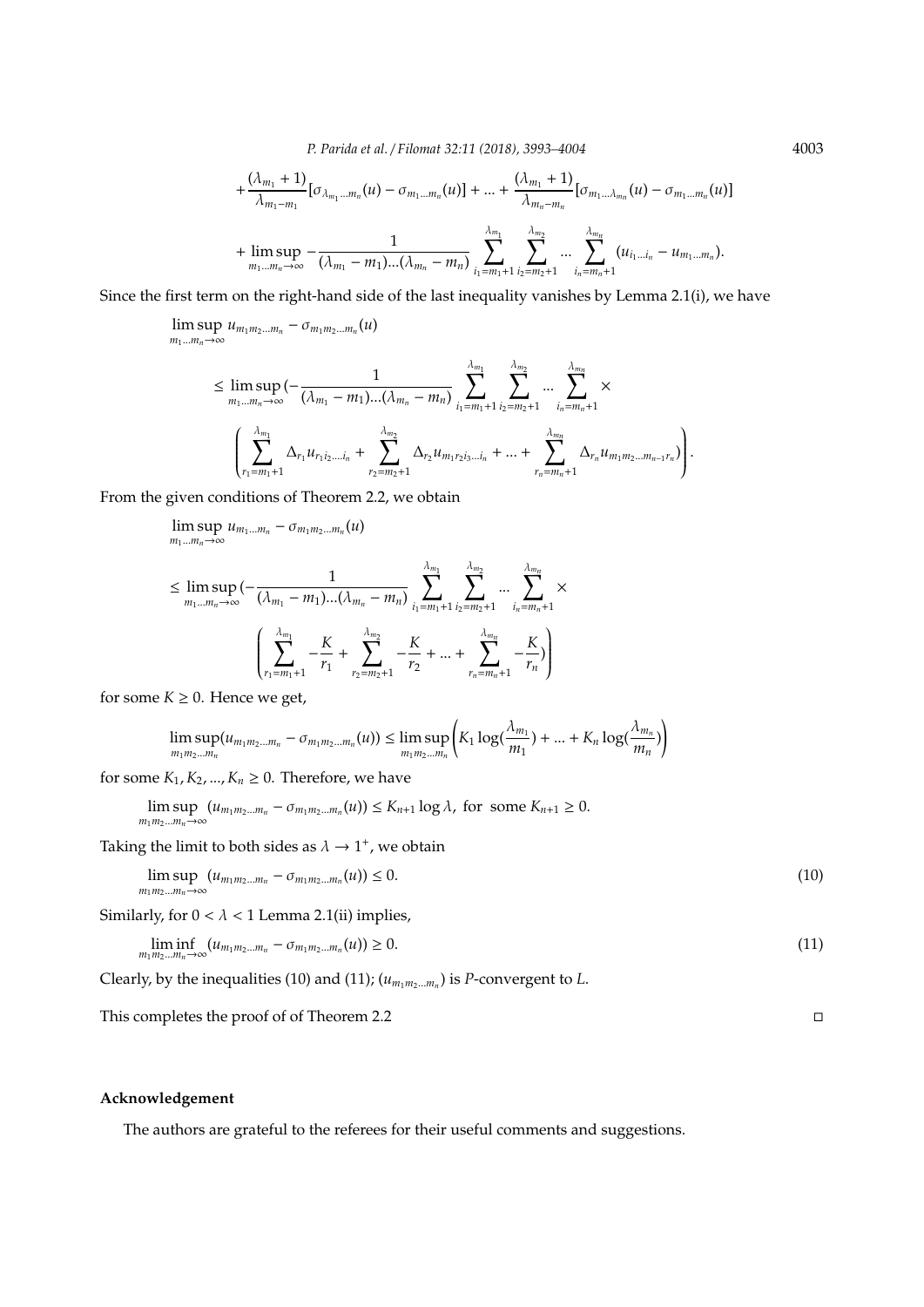*P. Parida et al.* / *Filomat 32:11 (2018), 3993–4004* 4003

$$
+\frac{(\lambda_{m_1}+1)}{\lambda_{m_1-m_1}}[\sigma_{\lambda_{m_1}...m_n}(u)-\sigma_{m_1...m_n}(u)]+...+\frac{(\lambda_{m_1}+1)}{\lambda_{m_n-m_n}}[\sigma_{m_1...\lambda_{m_n}}(u)-\sigma_{m_1...m_n}(u)]
$$
  
+ 
$$
\limsup_{m_1...m_n\to\infty}-\frac{1}{(\lambda_{m_1}-m_1)...(\lambda_{m_n}-m_n)}\sum_{i_1=m_1+1}^{\lambda_{m_1}}\sum_{i_2=m_2+1}^{\lambda_{m_2}}... \sum_{i_n=m_n+1}^{\lambda_{m_n}}(u_{i_1...i_n}-u_{m_1...m_n}).
$$

Since the first term on the right-hand side of the last inequality vanishes by Lemma 2.1(i), we have

lim sup  $\limsup_{m_1 \dots m_n \to \infty} u_{m_1 m_2 \dots m_n} - \sigma_{m_1 m_2 \dots m_n}(u)$ 

$$
\leq \limsup_{m_1...m_n \to \infty} \left(-\frac{1}{(\lambda_{m_1}-m_1)...(\lambda_{m_n}-m_n)} \sum_{i_1=m_1+1}^{\lambda_{m_1}} \sum_{i_2=m_2+1}^{\lambda_{m_2}} ... \sum_{i_n=m_n+1}^{\lambda_{m_n}} \times \left(\sum_{r_1=m_1+1}^{\lambda_{m_1}} \Delta_{r_1} u_{r_1 i_2 ... i_n} + \sum_{r_2=m_2+1}^{\lambda_{m_2}} \Delta_{r_2} u_{m_1 r_2 i_3 ... i_n} + ... + \sum_{r_n=m_n+1}^{\lambda_{m_n}} \Delta_{r_n} u_{m_1 m_2 ... m_{n-1} r_n}\right)\right).
$$

From the given conditions of Theorem 2.2, we obtain

$$
\limsup_{m_1...m_n \to \infty} u_{m_1...m_n} - \sigma_{m_1 m_2...m_n}(u)
$$
\n
$$
\leq \limsup_{m_1...m_n \to \infty} \left( -\frac{1}{(\lambda_{m_1} - m_1)...(\lambda_{m_n} - m_n)} \sum_{i_1 = m_1+1}^{\lambda_{m_1}} \sum_{i_2 = m_2+1}^{\lambda_{m_2}} ... \sum_{i_n = m_n+1}^{\lambda_{m_n}}
$$
\n
$$
\left( \sum_{r_1 = m_1+1}^{\lambda_{m_1}} -\frac{K}{r_1} + \sum_{r_2 = m_2+1}^{\lambda_{m_2}} -\frac{K}{r_2} + ... + \sum_{r_n = m_n+1}^{\lambda_{m_n}} -\frac{K}{r_n} \right)
$$

for some  $K \geq 0$ . Hence we get,

$$
\limsup_{m_1 m_2 \dots m_n} (u_{m_1 m_2 \dots m_n} - \sigma_{m_1 m_2 \dots m_n}(u)) \leq \limsup_{m_1 m_2 \dots m_n} \left( K_1 \log(\frac{\lambda_{m_1}}{m_1}) + \dots + K_n \log(\frac{\lambda_{m_n}}{m_n}) \right)
$$

for some  $K_1, K_2, ..., K_n \geq 0$ . Therefore, we have

$$
\limsup_{m_1m_2...m_n\to\infty} (u_{m_1m_2...m_n}-\sigma_{m_1m_2...m_n}(u)) \leq K_{n+1}\log\lambda, \text{ for some } K_{n+1}\geq 0.
$$

Taking the limit to both sides as  $\lambda \rightarrow 1^+$ , we obtain

$$
\limsup_{m_1 m_2 \dots m_n \to \infty} (u_{m_1 m_2 \dots m_n} - \sigma_{m_1 m_2 \dots m_n}(u)) \le 0.
$$
\n(10)

×

Similarly, for  $0 < \lambda < 1$  Lemma 2.1(ii) implies,

$$
\liminf_{m_1 m_2 \dots m_n \to \infty} (u_{m_1 m_2 \dots m_n} - \sigma_{m_1 m_2 \dots m_n}(u)) \ge 0.
$$
\n(11)

Clearly, by the inequalities (10) and (11);  $(u_{m_1m_2...m_n})$  is *P*-convergent to *L*.

This completes the proof of of Theorem 2.2  $\Box$ 

## **Acknowledgement**

The authors are grateful to the referees for their useful comments and suggestions.